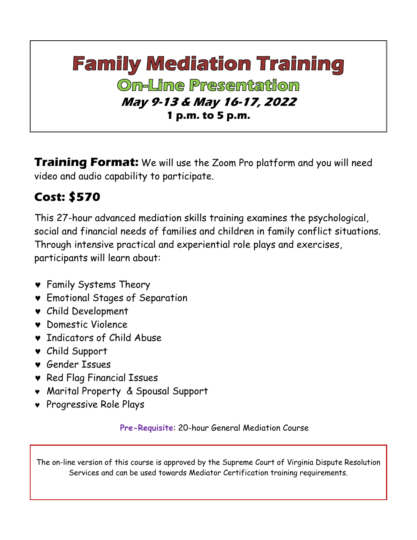# **Family Mediation Training On-Line Presentation May 9-13 & May 16-17, 2022 1 p.m. to 5 p.m.**

**Training Format:** We will use the Zoom Pro platform and you will need video and audio capability to participate.

### **Cost: \$570**

This 27-hour advanced mediation skills training examines the psychological, social and financial needs of families and children in family conflict situations. Through intensive practical and experiential role plays and exercises, participants will learn about:

- Family Systems Theory
- Emotional Stages of Separation
- Child Development
- Domestic Violence
- **v** Indicators of Child Abuse
- Child Support
- Gender Issues
- **v** Red Flag Financial Issues
- Marital Property & Spousal Support
- Progressive Role Plays

**Pre-Requisite**: 20-hour General Mediation Course

The on-line version of this course is approved by the Supreme Court of Virginia Dispute Resolution Services and can be used towards Mediator Certification training requirements.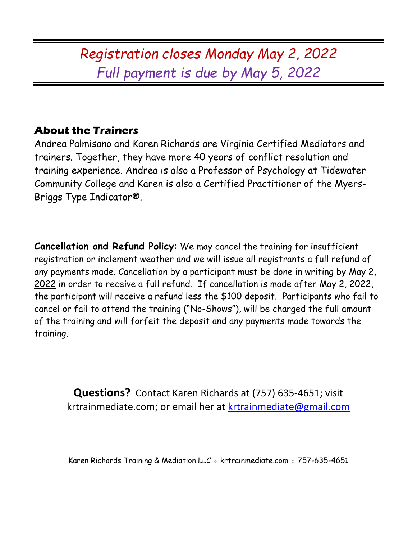## *Registration closes Monday May 2, 2022 Full payment is due by May 5, 2022*

### **About the Trainers**

Andrea Palmisano and Karen Richards are Virginia Certified Mediators and trainers. Together, they have more 40 years of conflict resolution and training experience. Andrea is also a Professor of Psychology at Tidewater Community College and Karen is also a Certified Practitioner of the Myers-Briggs Type Indicator®.

**Cancellation and Refund Policy**: We may cancel the training for insufficient registration or inclement weather and we will issue all registrants a full refund of any payments made. Cancellation by a participant must be done in writing by May 2, 2022 in order to receive a full refund. If cancellation is made after May 2, 2022, the participant will receive a refund less the \$100 deposit. Participants who fail to cancel or fail to attend the training ("No-Shows"), will be charged the full amount of the training and will forfeit the deposit and any payments made towards the training.

**Questions?** Contact Karen Richards at (757) 635-4651; visit krtrainmediate.com; or email her at [krtrainmediate@gmail.com](mailto:krtrainmediate@gmail.com)

Karen Richards Training & Mediation LLC ◦ krtrainmediate.com ◦ 757-635-4651